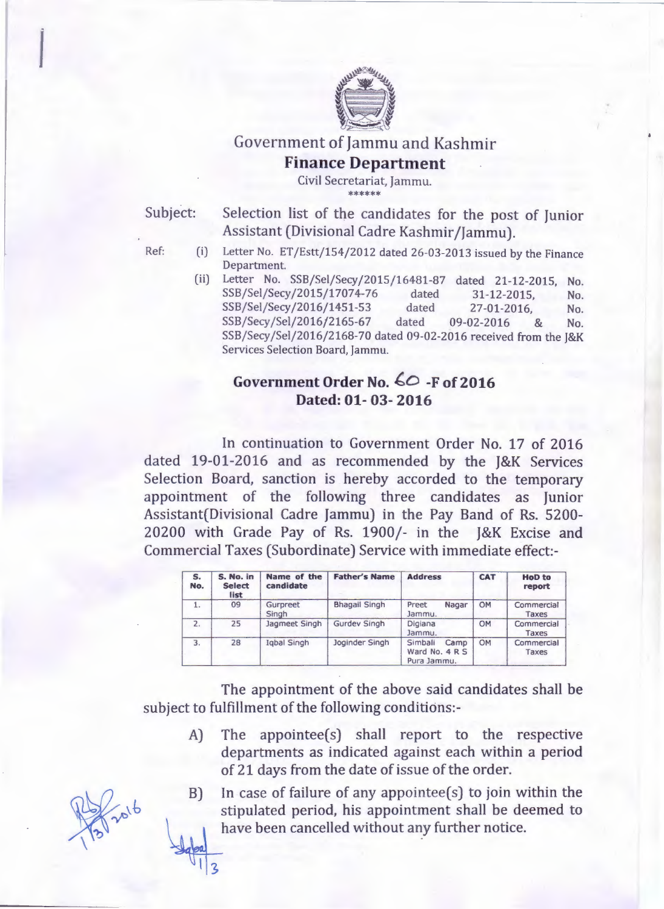

# Government of Jammu and Kashmir

## Finance Department

Civil Secretariat, Jammu. \*\*\*\*\*\*\*\*\*\*

Subject: Selection list of the candidates for the post of Junior Assistant (Divisional Cadre Kashmir /Jammu).

- Ref: (i) Letter No. ET /Estt/154/2012 dated 26-03-2013 issued by the Finance Department.
	- (ii) Letter No. SSB/Sel/Secy/2015/16481-87 dated 21-12-2015, No. SSB/Sel/Secy/2015/17074-76 dated 31-12-2015, No. SSB/Sel/Secy/2016/1451-53 dated 27-01-2016, No. SSB/Secy/Sel/2016/2165-67 dated 09-02-2016 & No. SSB/Secy/Sel/2016/2168-70 dated 09-02-2016 received from the J&K Services Selection Board, Jammu.

# Government Order No. *£0* -F of 2016 Dated: 01-03-2016

In continuation to Government Order No. 17 of 2016 dated 19-01-2016 and as recommended by the J&K Services Selection Board, sanction is hereby accorded to the temporary appointment of the following three candidates as Junior Assistant(Divisional Cadre Jammu) in the Pay Band of Rs. 5200- 20200 with Grade Pay of Rs. 1900/- in the J&K Excise and Commercial Taxes (Subordinate) Service with immediate effect:-

| S.<br>No. | S. No. in<br><b>Select</b><br>list | Name of the<br>candidate | <b>Father's Name</b> | <b>Address</b>                                   | <b>CAT</b> | <b>HoD</b> to<br>report |
|-----------|------------------------------------|--------------------------|----------------------|--------------------------------------------------|------------|-------------------------|
| 1.        | 09                                 | Gurpreet<br>Singh        | <b>Bhagail Singh</b> | Nagar<br>Preet<br>Jammu.                         | OM         | Commercial<br>Taxes     |
| 2.        | 25                                 | Jagmeet Singh            | <b>Gurdev Singh</b>  | Digiana<br>Jammu.                                | OM         | Commercial<br>Taxes     |
| 3.        | 28                                 | Igbal Singh              | Joginder Singh       | Camp<br>Simbali<br>Ward No. 4 R S<br>Pura Jammu. | OM         | Commercial<br>Taxes     |

The appointment of the above said candidates shall be subject to fulfillment of the following conditions:-

- A) The appointee(s) shall report to the respective departments as indicated against each within a period of 21 days from the date of issue of the order.
- B) In case of failure of any appointee(s) to join within the stipulated period, his appointment shall be deemed to have been cancelled without any further notice.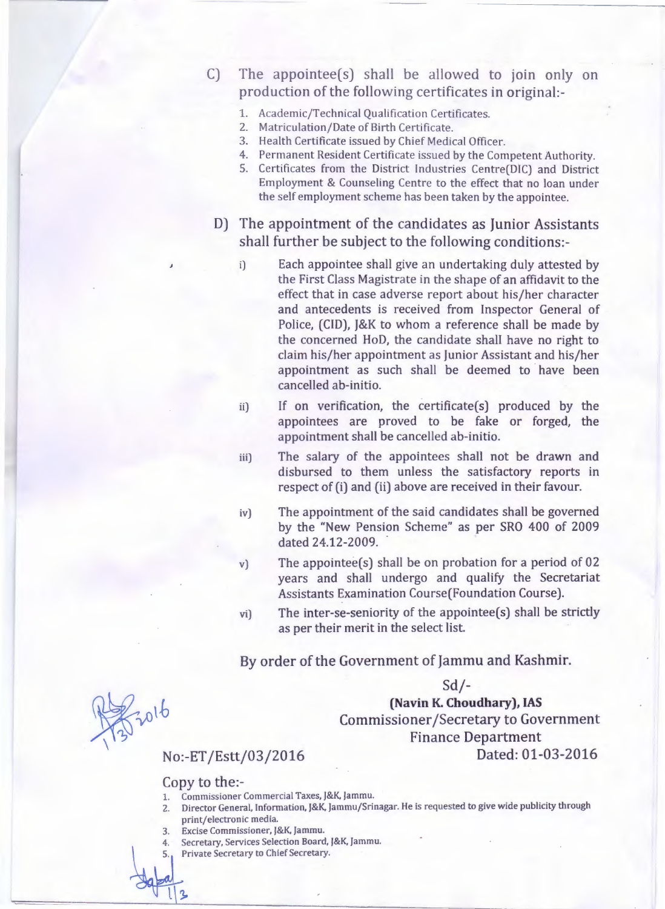- C) The appointee(s) shall be allowed to join only on production of the following certificates in original:-
	- 1. Academic/Technical Qualification Certificates.
	- 2. Matriculation/Date of Birth Certificate.
	- 3. Health Certificate issued by Chief Medical Officer.
	- 4. Permanent Resident Certificate issued by the Competent Authority.
	- 5. Certificates from the District Industries Centre(DIC) and District Employment & Counseling Centre to the effect that no loan under the self employment scheme has been taken by the appointee.
- D) The appointment of the candidates as Junior Assistants shall further be subject to the following conditions:
	- i) Each appointee shall give an undertaking duly attested by the First Class Magistrate in the shape of an affidavit to the effect that in case adverse report about his/her character and antecedents is received from Inspector General of Police, (CID), J&K to whom a reference shall be made by the concerned HoD, the candidate shall have no right to claim his/her appointment as Junior Assistant and his/her appointment as such shall be deemed to have been cancelled ab-initio.
	- ii) If on verification, the certificate(s) produced by the appointees are proved to be fake or forged, the appointment shall be cancelled ab-initio.
	- iii) The salary of the appointees shall not be drawn and disbursed to them unless the satisfactory reports in respect of (i) and (ii) above are received in their favour.
	- iv) The appointment of the said candidates shall be governed by the "New Pension Scheme" as per SRO 400 of 2009 dated 24.12-2009.
	- v) The appointee(s) shall be on probation for a period of 02 years and shall undergo and qualify the Secretariat Assistants Examination Course(Foundation Course).
	- vi) The inter-se-seniority of the appointee(s) shall be strictly as per their merit in the select list.

By order of the Government of Jammu and Kashmir.

### Sd/-

**(Navin K. Choudhary), IAS** 

Commissioner /Secretary to Government

Finance Department

No:-ET /Estt/03/2016 Dated: 01-03-2016

#### Copy to the:-

- 1. Commissioner Commercial Taxes, J&K, jammu.
- 2. Director General, Information, J&K, jammu/Srinagar. He is requested to give wide publicity through print/electronic media.
- 3. Excise Commissioner, J&K, jammu.
- Secretary, Services Selection Board, J&K, Jammu.
- Private Secretary to Chief Secretary.

 $3016$